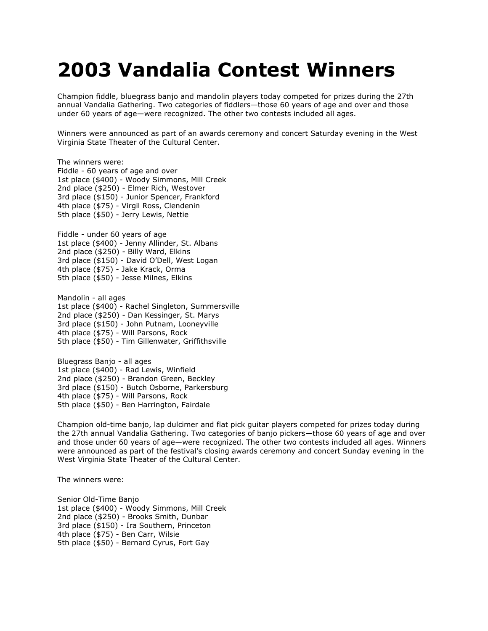## **2003 Vandalia Contest Winners**

Champion fiddle, bluegrass banjo and mandolin players today competed for prizes during the 27th annual Vandalia Gathering. Two categories of fiddlers—those 60 years of age and over and those under 60 years of age—were recognized. The other two contests included all ages.

Winners were announced as part of an awards ceremony and concert Saturday evening in the West Virginia State Theater of the Cultural Center.

The winners were: Fiddle - 60 years of age and over 1st place (\$400) - Woody Simmons, Mill Creek 2nd place (\$250) - Elmer Rich, Westover 3rd place (\$150) - Junior Spencer, Frankford 4th place (\$75) - Virgil Ross, Clendenin 5th place (\$50) - Jerry Lewis, Nettie

Fiddle - under 60 years of age 1st place (\$400) - Jenny Allinder, St. Albans 2nd place (\$250) - Billy Ward, Elkins 3rd place (\$150) - David O'Dell, West Logan 4th place (\$75) - Jake Krack, Orma 5th place (\$50) - Jesse Milnes, Elkins

Mandolin - all ages 1st place (\$400) - Rachel Singleton, Summersville 2nd place (\$250) - Dan Kessinger, St. Marys 3rd place (\$150) - John Putnam, Looneyville 4th place (\$75) - Will Parsons, Rock 5th place (\$50) - Tim Gillenwater, Griffithsville

Bluegrass Banjo - all ages 1st place (\$400) - Rad Lewis, Winfield 2nd place (\$250) - Brandon Green, Beckley 3rd place (\$150) - Butch Osborne, Parkersburg 4th place (\$75) - Will Parsons, Rock 5th place (\$50) - Ben Harrington, Fairdale

Champion old-time banjo, lap dulcimer and flat pick guitar players competed for prizes today during the 27th annual Vandalia Gathering. Two categories of banjo pickers—those 60 years of age and over and those under 60 years of age—were recognized. The other two contests included all ages. Winners were announced as part of the festival's closing awards ceremony and concert Sunday evening in the West Virginia State Theater of the Cultural Center.

The winners were:

Senior Old-Time Banjo 1st place (\$400) - Woody Simmons, Mill Creek 2nd place (\$250) - Brooks Smith, Dunbar 3rd place (\$150) - Ira Southern, Princeton 4th place (\$75) - Ben Carr, Wilsie 5th place (\$50) - Bernard Cyrus, Fort Gay